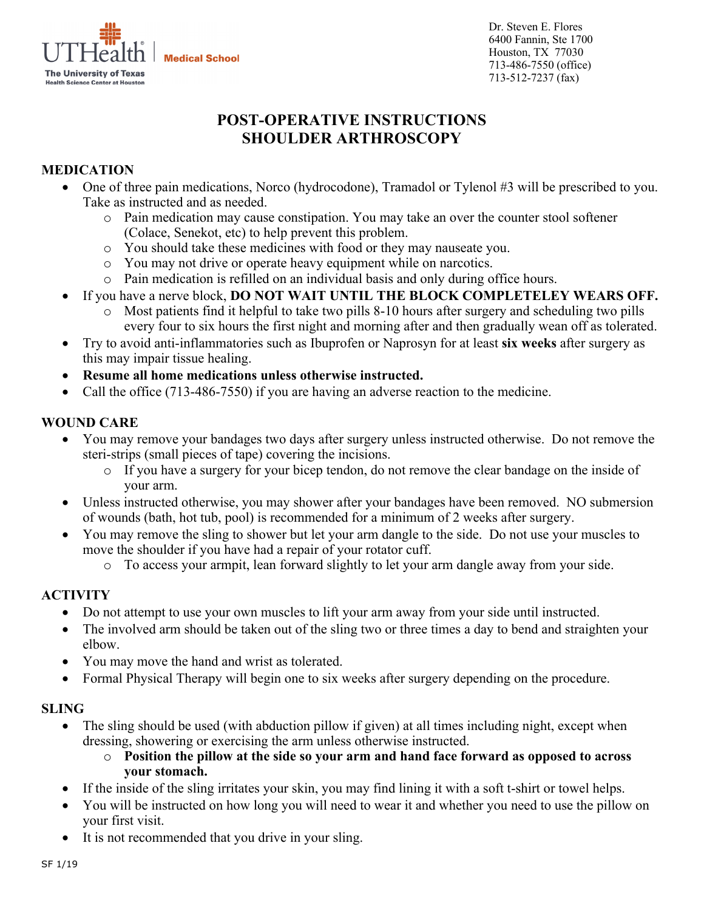ļ **Medical School The University of Texas Health Science Center at Houston** 

Dr. Steven E. Flores 6400 Fannin, Ste 1700 Houston, TX 77030 713-486-7550 (office) 713-512-7237 (fax)

# **POST-OPERATIVE INSTRUCTIONS SHOULDER ARTHROSCOPY**

# **MEDICATION**

- One of three pain medications, Norco (hydrocodone), Tramadol or Tylenol #3 will be prescribed to you. Take as instructed and as needed.
	- o Pain medication may cause constipation. You may take an over the counter stool softener (Colace, Senekot, etc) to help prevent this problem.
	- o You should take these medicines with food or they may nauseate you.
	- o You may not drive or operate heavy equipment while on narcotics.
	- o Pain medication is refilled on an individual basis and only during office hours.
- If you have a nerve block, **DO NOT WAIT UNTIL THE BLOCK COMPLETELEY WEARS OFF.**
	- Most patients find it helpful to take two pills 8-10 hours after surgery and scheduling two pills every four to six hours the first night and morning after and then gradually wean off as tolerated.
- Try to avoid anti-inflammatories such as Ibuprofen or Naprosyn for at least **six weeks** after surgery as this may impair tissue healing.
- **Resume all home medications unless otherwise instructed.**
- Call the office (713-486-7550) if you are having an adverse reaction to the medicine.

### **WOUND CARE**

- You may remove your bandages two days after surgery unless instructed otherwise. Do not remove the steri-strips (small pieces of tape) covering the incisions.
	- o If you have a surgery for your bicep tendon, do not remove the clear bandage on the inside of your arm.
- Unless instructed otherwise, you may shower after your bandages have been removed. NO submersion of wounds (bath, hot tub, pool) is recommended for a minimum of 2 weeks after surgery.
- You may remove the sling to shower but let your arm dangle to the side. Do not use your muscles to move the shoulder if you have had a repair of your rotator cuff.
	- o To access your armpit, lean forward slightly to let your arm dangle away from your side.

## **ACTIVITY**

- Do not attempt to use your own muscles to lift your arm away from your side until instructed.
- The involved arm should be taken out of the sling two or three times a day to bend and straighten your elbow.
- You may move the hand and wrist as tolerated.
- Formal Physical Therapy will begin one to six weeks after surgery depending on the procedure.

#### **SLING**

- The sling should be used (with abduction pillow if given) at all times including night, except when dressing, showering or exercising the arm unless otherwise instructed.
	- o **Position the pillow at the side so your arm and hand face forward as opposed to across your stomach.**
- If the inside of the sling irritates your skin, you may find lining it with a soft t-shirt or towel helps.
- You will be instructed on how long you will need to wear it and whether you need to use the pillow on your first visit.
- It is not recommended that you drive in your sling.